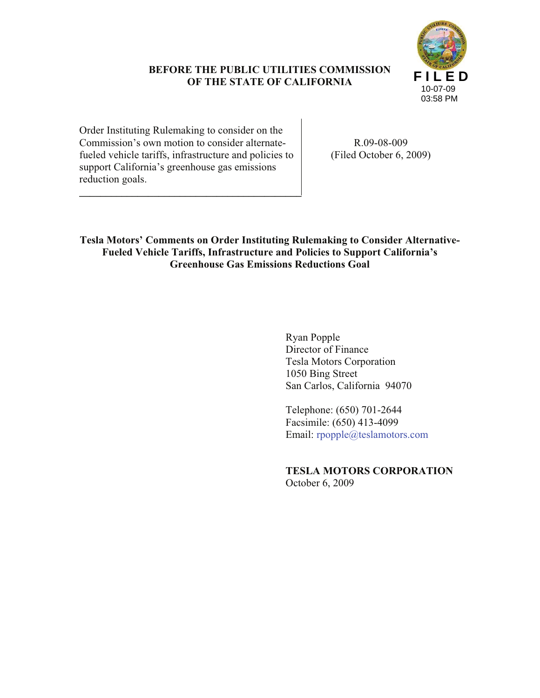# **BEFORE THE PUBLIC UTILITIES COMMISSION OF THE STATE OF CALIFORNIA**



Order Instituting Rulemaking to consider on the Commission's own motion to consider alternatefueled vehicle tariffs, infrastructure and policies to support California's greenhouse gas emissions reduction goals.

**\_\_\_\_\_\_\_\_\_\_\_\_\_\_\_\_\_\_\_\_\_\_\_\_\_\_\_\_\_\_\_\_\_\_\_\_\_\_\_\_\_\_**

R.09-08-009 (Filed October 6, 2009)

**Tesla Motors' Comments on Order Instituting Rulemaking to Consider Alternative-Fueled Vehicle Tariffs, Infrastructure and Policies to Support California's Greenhouse Gas Emissions Reductions Goal**

> Ryan Popple Director of Finance Tesla Motors Corporation 1050 Bing Street San Carlos, California 94070

Telephone: (650) 701-2644 Facsimile: (650) 413-4099 Email: rpopple@teslamotors.com

**TESLA MOTORS CORPORATION** October 6, 2009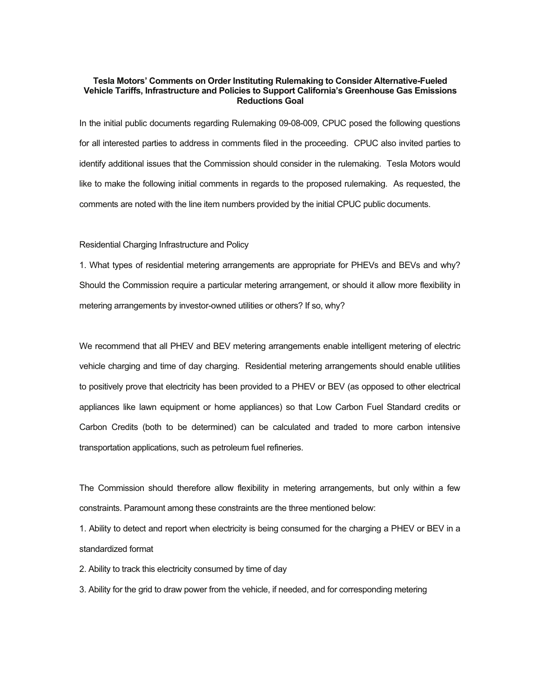## **Tesla Motors' Comments on Order Instituting Rulemaking to Consider Alternative-Fueled Vehicle Tariffs, Infrastructure and Policies to Support California's Greenhouse Gas Emissions Reductions Goal**

In the initial public documents regarding Rulemaking 09-08-009, CPUC posed the following questions for all interested parties to address in comments filed in the proceeding. CPUC also invited parties to identify additional issues that the Commission should consider in the rulemaking. Tesla Motors would like to make the following initial comments in regards to the proposed rulemaking. As requested, the comments are noted with the line item numbers provided by the initial CPUC public documents.

#### Residential Charging Infrastructure and Policy

1. What types of residential metering arrangements are appropriate for PHEVs and BEVs and why? Should the Commission require a particular metering arrangement, or should it allow more flexibility in metering arrangements by investor-owned utilities or others? If so, why?

We recommend that all PHEV and BEV metering arrangements enable intelligent metering of electric vehicle charging and time of day charging. Residential metering arrangements should enable utilities to positively prove that electricity has been provided to a PHEV or BEV (as opposed to other electrical appliances like lawn equipment or home appliances) so that Low Carbon Fuel Standard credits or Carbon Credits (both to be determined) can be calculated and traded to more carbon intensive transportation applications, such as petroleum fuel refineries.

The Commission should therefore allow flexibility in metering arrangements, but only within a few constraints. Paramount among these constraints are the three mentioned below:

1. Ability to detect and report when electricity is being consumed for the charging a PHEV or BEV in a standardized format

2. Ability to track this electricity consumed by time of day

3. Ability for the grid to draw power from the vehicle, if needed, and for corresponding metering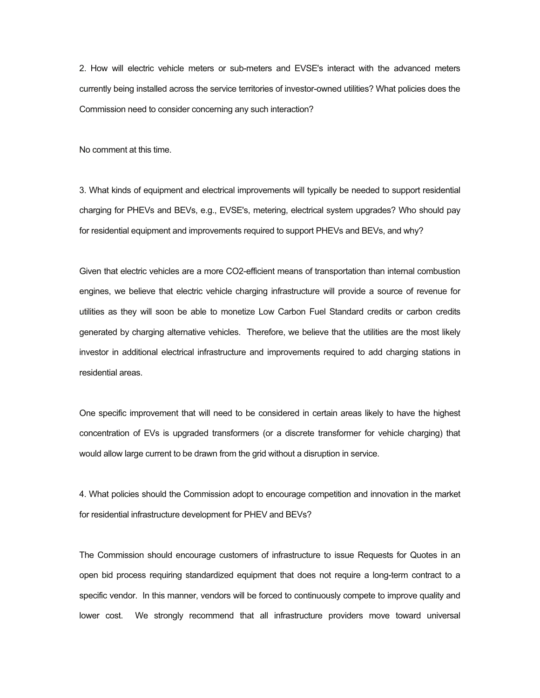2. How will electric vehicle meters or sub-meters and EVSE's interact with the advanced meters currently being installed across the service territories of investor-owned utilities? What policies does the Commission need to consider concerning any such interaction?

No comment at this time.

3. What kinds of equipment and electrical improvements will typically be needed to support residential charging for PHEVs and BEVs, e.g., EVSE's, metering, electrical system upgrades? Who should pay for residential equipment and improvements required to support PHEVs and BEVs, and why?

Given that electric vehicles are a more CO2-efficient means of transportation than internal combustion engines, we believe that electric vehicle charging infrastructure will provide a source of revenue for utilities as they will soon be able to monetize Low Carbon Fuel Standard credits or carbon credits generated by charging alternative vehicles. Therefore, we believe that the utilities are the most likely investor in additional electrical infrastructure and improvements required to add charging stations in residential areas.

One specific improvement that will need to be considered in certain areas likely to have the highest concentration of EVs is upgraded transformers (or a discrete transformer for vehicle charging) that would allow large current to be drawn from the grid without a disruption in service.

4. What policies should the Commission adopt to encourage competition and innovation in the market for residential infrastructure development for PHEV and BEVs?

The Commission should encourage customers of infrastructure to issue Requests for Quotes in an open bid process requiring standardized equipment that does not require a long-term contract to a specific vendor. In this manner, vendors will be forced to continuously compete to improve quality and lower cost. We strongly recommend that all infrastructure providers move toward universal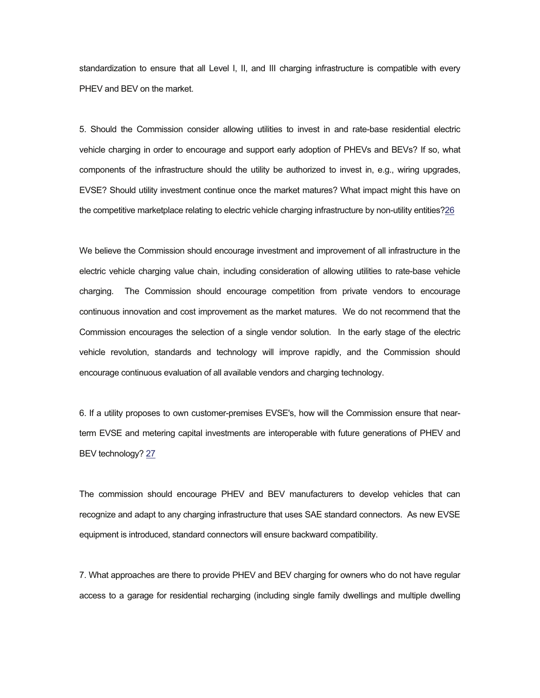standardization to ensure that all Level I, II, and III charging infrastructure is compatible with every PHEV and BEV on the market.

5. Should the Commission consider allowing utilities to invest in and rate-base residential electric vehicle charging in order to encourage and support early adoption of PHEVs and BEVs? If so, what components of the infrastructure should the utility be authorized to invest in, e.g., wiring upgrades, EVSE? Should utility investment continue once the market matures? What impact might this have on the competitive marketplace relating to electric vehicle charging infrastructure by non-utility entities?26

We believe the Commission should encourage investment and improvement of all infrastructure in the electric vehicle charging value chain, including consideration of allowing utilities to rate-base vehicle charging. The Commission should encourage competition from private vendors to encourage continuous innovation and cost improvement as the market matures. We do not recommend that the Commission encourages the selection of a single vendor solution. In the early stage of the electric vehicle revolution, standards and technology will improve rapidly, and the Commission should encourage continuous evaluation of all available vendors and charging technology.

6. If a utility proposes to own customer-premises EVSE's, how will the Commission ensure that nearterm EVSE and metering capital investments are interoperable with future generations of PHEV and BEV technology? 27

The commission should encourage PHEV and BEV manufacturers to develop vehicles that can recognize and adapt to any charging infrastructure that uses SAE standard connectors. As new EVSE equipment is introduced, standard connectors will ensure backward compatibility.

7. What approaches are there to provide PHEV and BEV charging for owners who do not have regular access to a garage for residential recharging (including single family dwellings and multiple dwelling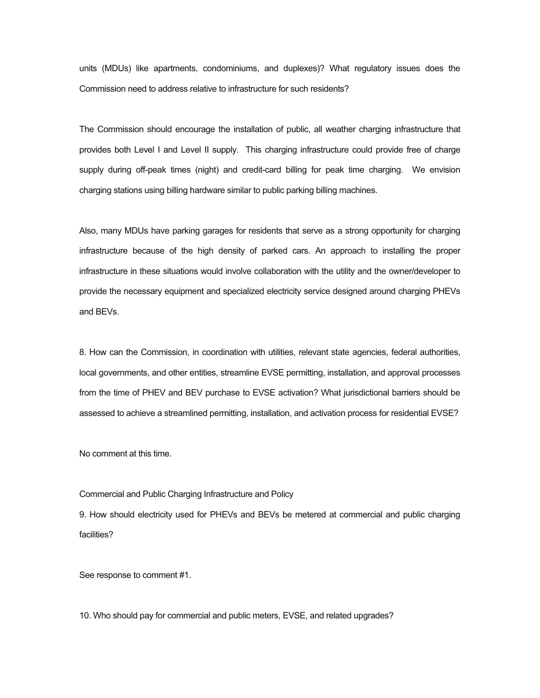units (MDUs) like apartments, condominiums, and duplexes)? What regulatory issues does the Commission need to address relative to infrastructure for such residents?

The Commission should encourage the installation of public, all weather charging infrastructure that provides both Level I and Level II supply. This charging infrastructure could provide free of charge supply during off-peak times (night) and credit-card billing for peak time charging. We envision charging stations using billing hardware similar to public parking billing machines.

Also, many MDUs have parking garages for residents that serve as a strong opportunity for charging infrastructure because of the high density of parked cars. An approach to installing the proper infrastructure in these situations would involve collaboration with the utility and the owner/developer to provide the necessary equipment and specialized electricity service designed around charging PHEVs and BEVs.

8. How can the Commission, in coordination with utilities, relevant state agencies, federal authorities, local governments, and other entities, streamline EVSE permitting, installation, and approval processes from the time of PHEV and BEV purchase to EVSE activation? What jurisdictional barriers should be assessed to achieve a streamlined permitting, installation, and activation process for residential EVSE?

No comment at this time.

## Commercial and Public Charging Infrastructure and Policy

9. How should electricity used for PHEVs and BEVs be metered at commercial and public charging facilities?

See response to comment #1.

10. Who should pay for commercial and public meters, EVSE, and related upgrades?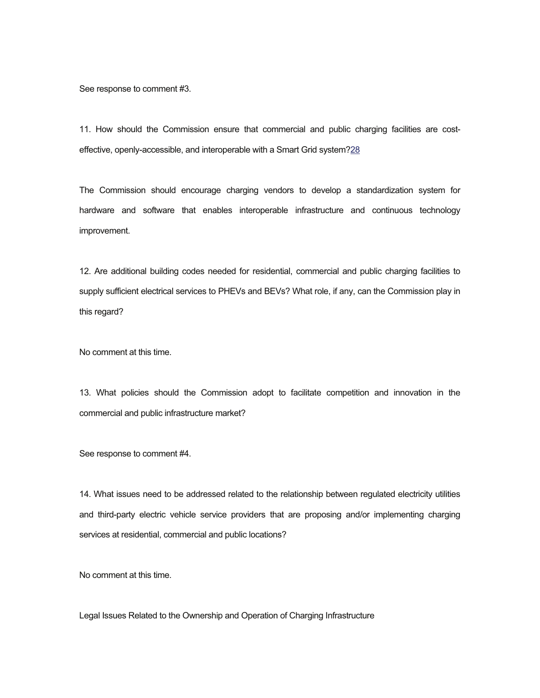See response to comment #3.

11. How should the Commission ensure that commercial and public charging facilities are costeffective, openly-accessible, and interoperable with a Smart Grid system?28

The Commission should encourage charging vendors to develop a standardization system for hardware and software that enables interoperable infrastructure and continuous technology improvement.

12. Are additional building codes needed for residential, commercial and public charging facilities to supply sufficient electrical services to PHEVs and BEVs? What role, if any, can the Commission play in this regard?

No comment at this time.

13. What policies should the Commission adopt to facilitate competition and innovation in the commercial and public infrastructure market?

See response to comment #4.

14. What issues need to be addressed related to the relationship between regulated electricity utilities and third-party electric vehicle service providers that are proposing and/or implementing charging services at residential, commercial and public locations?

No comment at this time.

Legal Issues Related to the Ownership and Operation of Charging Infrastructure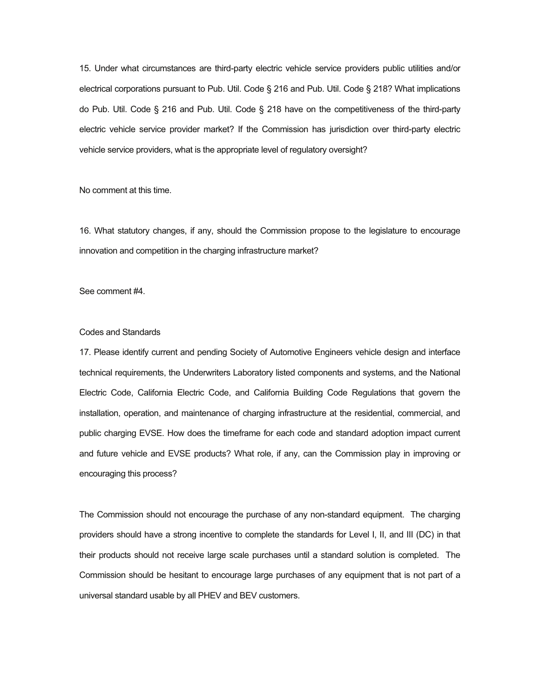15. Under what circumstances are third-party electric vehicle service providers public utilities and/or electrical corporations pursuant to Pub. Util. Code § 216 and Pub. Util. Code § 218? What implications do Pub. Util. Code § 216 and Pub. Util. Code § 218 have on the competitiveness of the third-party electric vehicle service provider market? If the Commission has jurisdiction over third-party electric vehicle service providers, what is the appropriate level of regulatory oversight?

No comment at this time.

16. What statutory changes, if any, should the Commission propose to the legislature to encourage innovation and competition in the charging infrastructure market?

See comment #4.

# Codes and Standards

17. Please identify current and pending Society of Automotive Engineers vehicle design and interface technical requirements, the Underwriters Laboratory listed components and systems, and the National Electric Code, California Electric Code, and California Building Code Regulations that govern the installation, operation, and maintenance of charging infrastructure at the residential, commercial, and public charging EVSE. How does the timeframe for each code and standard adoption impact current and future vehicle and EVSE products? What role, if any, can the Commission play in improving or encouraging this process?

The Commission should not encourage the purchase of any non-standard equipment. The charging providers should have a strong incentive to complete the standards for Level I, II, and III (DC) in that their products should not receive large scale purchases until a standard solution is completed. The Commission should be hesitant to encourage large purchases of any equipment that is not part of a universal standard usable by all PHEV and BEV customers.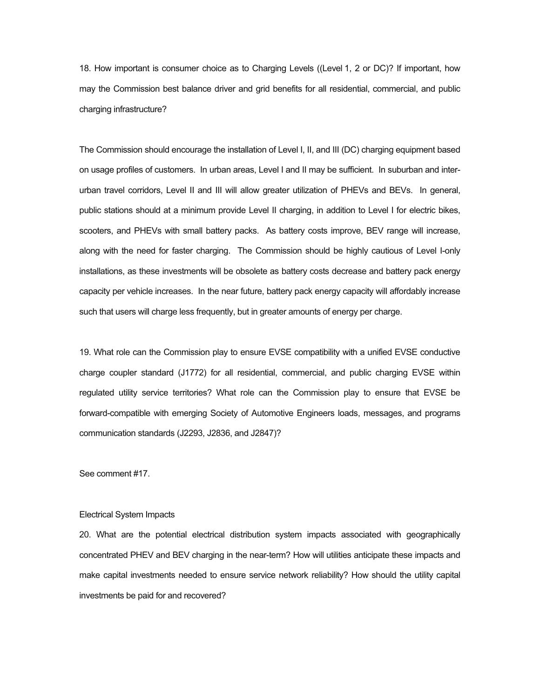18. How important is consumer choice as to Charging Levels ((Level 1, 2 or DC)? If important, how may the Commission best balance driver and grid benefits for all residential, commercial, and public charging infrastructure?

The Commission should encourage the installation of Level I, II, and III (DC) charging equipment based on usage profiles of customers. In urban areas, Level I and II may be sufficient. In suburban and interurban travel corridors, Level II and III will allow greater utilization of PHEVs and BEVs. In general, public stations should at a minimum provide Level II charging, in addition to Level I for electric bikes, scooters, and PHEVs with small battery packs. As battery costs improve, BEV range will increase, along with the need for faster charging. The Commission should be highly cautious of Level I-only installations, as these investments will be obsolete as battery costs decrease and battery pack energy capacity per vehicle increases. In the near future, battery pack energy capacity will affordably increase such that users will charge less frequently, but in greater amounts of energy per charge.

19. What role can the Commission play to ensure EVSE compatibility with a unified EVSE conductive charge coupler standard (J1772) for all residential, commercial, and public charging EVSE within regulated utility service territories? What role can the Commission play to ensure that EVSE be forward-compatible with emerging Society of Automotive Engineers loads, messages, and programs communication standards (J2293, J2836, and J2847)?

See comment #17.

## Electrical System Impacts

20. What are the potential electrical distribution system impacts associated with geographically concentrated PHEV and BEV charging in the near-term? How will utilities anticipate these impacts and make capital investments needed to ensure service network reliability? How should the utility capital investments be paid for and recovered?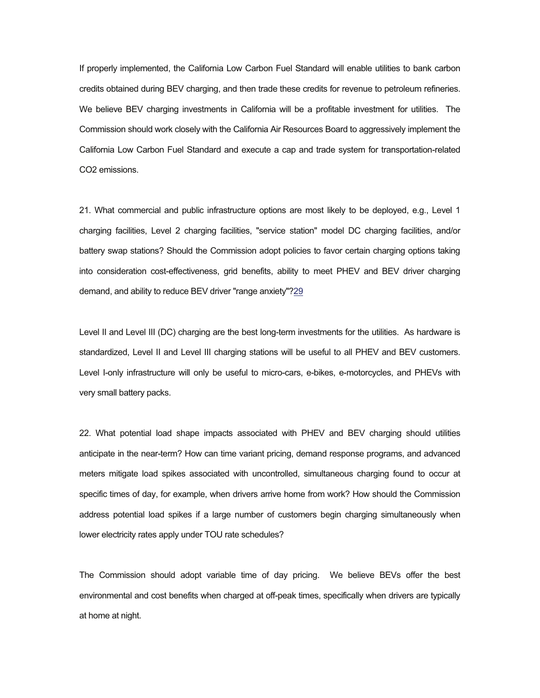If properly implemented, the California Low Carbon Fuel Standard will enable utilities to bank carbon credits obtained during BEV charging, and then trade these credits for revenue to petroleum refineries. We believe BEV charging investments in California will be a profitable investment for utilities. The Commission should work closely with the California Air Resources Board to aggressively implement the California Low Carbon Fuel Standard and execute a cap and trade system for transportation-related CO2 emissions.

21. What commercial and public infrastructure options are most likely to be deployed, e.g., Level 1 charging facilities, Level 2 charging facilities, "service station" model DC charging facilities, and/or battery swap stations? Should the Commission adopt policies to favor certain charging options taking into consideration cost-effectiveness, grid benefits, ability to meet PHEV and BEV driver charging demand, and ability to reduce BEV driver "range anxiety"?29

Level II and Level III (DC) charging are the best long-term investments for the utilities. As hardware is standardized, Level II and Level III charging stations will be useful to all PHEV and BEV customers. Level I-only infrastructure will only be useful to micro-cars, e-bikes, e-motorcycles, and PHEVs with very small battery packs.

22. What potential load shape impacts associated with PHEV and BEV charging should utilities anticipate in the near-term? How can time variant pricing, demand response programs, and advanced meters mitigate load spikes associated with uncontrolled, simultaneous charging found to occur at specific times of day, for example, when drivers arrive home from work? How should the Commission address potential load spikes if a large number of customers begin charging simultaneously when lower electricity rates apply under TOU rate schedules?

The Commission should adopt variable time of day pricing. We believe BEVs offer the best environmental and cost benefits when charged at off-peak times, specifically when drivers are typically at home at night.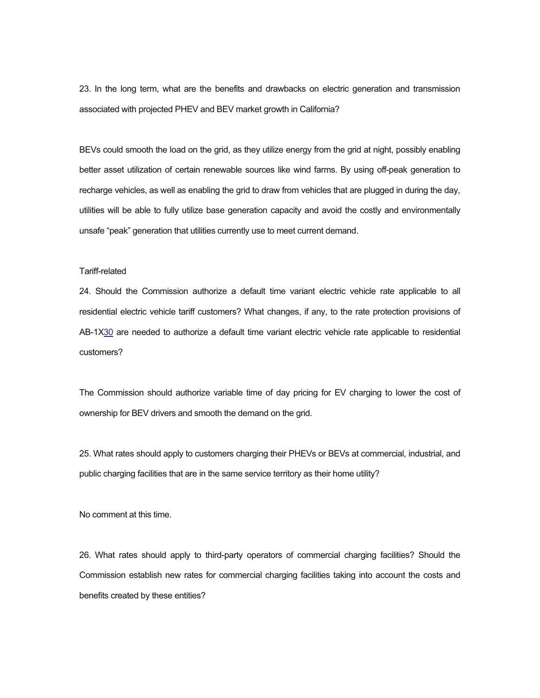23. In the long term, what are the benefits and drawbacks on electric generation and transmission associated with projected PHEV and BEV market growth in California?

BEVs could smooth the load on the grid, as they utilize energy from the grid at night, possibly enabling better asset utilization of certain renewable sources like wind farms. By using off-peak generation to recharge vehicles, as well as enabling the grid to draw from vehicles that are plugged in during the day, utilities will be able to fully utilize base generation capacity and avoid the costly and environmentally unsafe "peak" generation that utilities currently use to meet current demand.

# Tariff-related

24. Should the Commission authorize a default time variant electric vehicle rate applicable to all residential electric vehicle tariff customers? What changes, if any, to the rate protection provisions of AB-1X30 are needed to authorize a default time variant electric vehicle rate applicable to residential customers?

The Commission should authorize variable time of day pricing for EV charging to lower the cost of ownership for BEV drivers and smooth the demand on the grid.

25. What rates should apply to customers charging their PHEVs or BEVs at commercial, industrial, and public charging facilities that are in the same service territory as their home utility?

No comment at this time.

26. What rates should apply to third-party operators of commercial charging facilities? Should the Commission establish new rates for commercial charging facilities taking into account the costs and benefits created by these entities?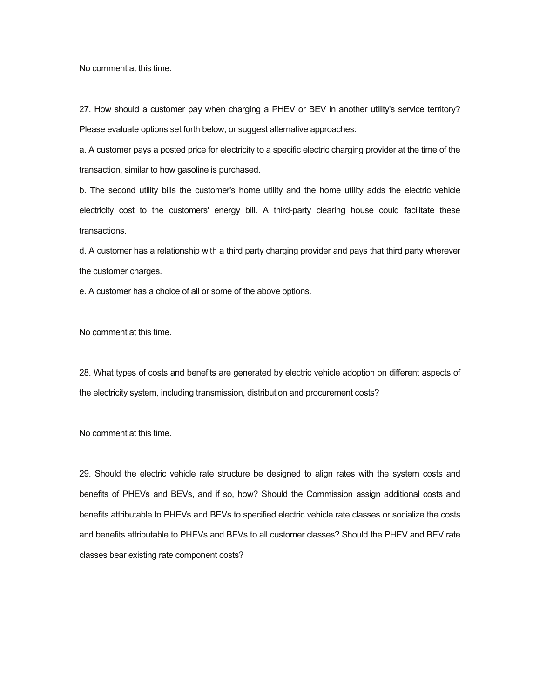No comment at this time.

27. How should a customer pay when charging a PHEV or BEV in another utility's service territory? Please evaluate options set forth below, or suggest alternative approaches:

a. A customer pays a posted price for electricity to a specific electric charging provider at the time of the transaction, similar to how gasoline is purchased.

b. The second utility bills the customer's home utility and the home utility adds the electric vehicle electricity cost to the customers' energy bill. A third-party clearing house could facilitate these transactions.

d. A customer has a relationship with a third party charging provider and pays that third party wherever the customer charges.

e. A customer has a choice of all or some of the above options.

No comment at this time.

28. What types of costs and benefits are generated by electric vehicle adoption on different aspects of the electricity system, including transmission, distribution and procurement costs?

No comment at this time.

29. Should the electric vehicle rate structure be designed to align rates with the system costs and benefits of PHEVs and BEVs, and if so, how? Should the Commission assign additional costs and benefits attributable to PHEVs and BEVs to specified electric vehicle rate classes or socialize the costs and benefits attributable to PHEVs and BEVs to all customer classes? Should the PHEV and BEV rate classes bear existing rate component costs?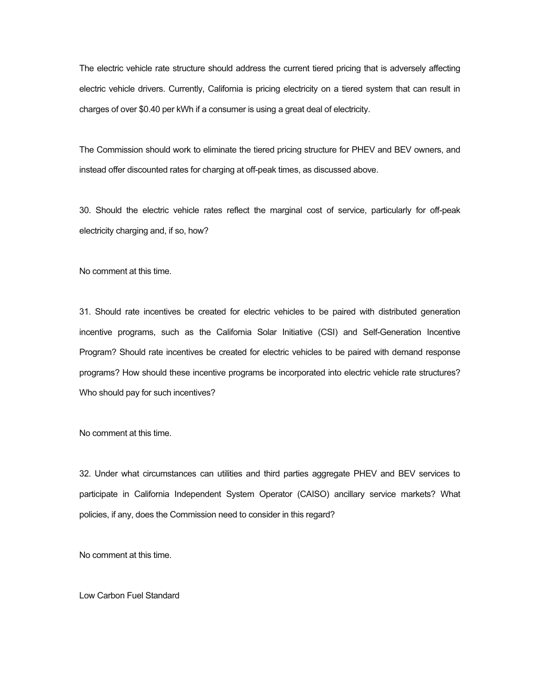The electric vehicle rate structure should address the current tiered pricing that is adversely affecting electric vehicle drivers. Currently, California is pricing electricity on a tiered system that can result in charges of over \$0.40 per kWh if a consumer is using a great deal of electricity.

The Commission should work to eliminate the tiered pricing structure for PHEV and BEV owners, and instead offer discounted rates for charging at off-peak times, as discussed above.

30. Should the electric vehicle rates reflect the marginal cost of service, particularly for off-peak electricity charging and, if so, how?

No comment at this time.

31. Should rate incentives be created for electric vehicles to be paired with distributed generation incentive programs, such as the California Solar Initiative (CSI) and Self-Generation Incentive Program? Should rate incentives be created for electric vehicles to be paired with demand response programs? How should these incentive programs be incorporated into electric vehicle rate structures? Who should pay for such incentives?

No comment at this time.

32. Under what circumstances can utilities and third parties aggregate PHEV and BEV services to participate in California Independent System Operator (CAISO) ancillary service markets? What policies, if any, does the Commission need to consider in this regard?

No comment at this time.

Low Carbon Fuel Standard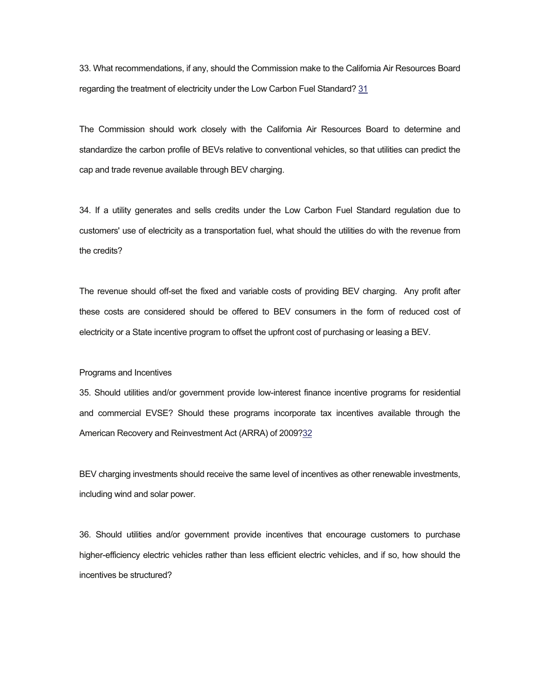33. What recommendations, if any, should the Commission make to the California Air Resources Board regarding the treatment of electricity under the Low Carbon Fuel Standard? 31

The Commission should work closely with the California Air Resources Board to determine and standardize the carbon profile of BEVs relative to conventional vehicles, so that utilities can predict the cap and trade revenue available through BEV charging.

34. If a utility generates and sells credits under the Low Carbon Fuel Standard regulation due to customers' use of electricity as a transportation fuel, what should the utilities do with the revenue from the credits?

The revenue should off-set the fixed and variable costs of providing BEV charging. Any profit after these costs are considered should be offered to BEV consumers in the form of reduced cost of electricity or a State incentive program to offset the upfront cost of purchasing or leasing a BEV.

#### Programs and Incentives

35. Should utilities and/or government provide low-interest finance incentive programs for residential and commercial EVSE? Should these programs incorporate tax incentives available through the American Recovery and Reinvestment Act (ARRA) of 2009?32

BEV charging investments should receive the same level of incentives as other renewable investments, including wind and solar power.

36. Should utilities and/or government provide incentives that encourage customers to purchase higher-efficiency electric vehicles rather than less efficient electric vehicles, and if so, how should the incentives be structured?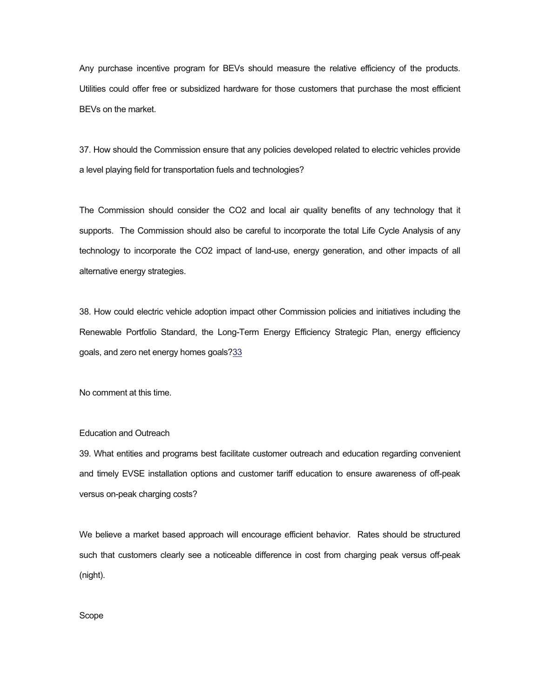Any purchase incentive program for BEVs should measure the relative efficiency of the products. Utilities could offer free or subsidized hardware for those customers that purchase the most efficient BEVs on the market.

37. How should the Commission ensure that any policies developed related to electric vehicles provide a level playing field for transportation fuels and technologies?

The Commission should consider the CO2 and local air quality benefits of any technology that it supports. The Commission should also be careful to incorporate the total Life Cycle Analysis of any technology to incorporate the CO2 impact of land-use, energy generation, and other impacts of all alternative energy strategies.

38. How could electric vehicle adoption impact other Commission policies and initiatives including the Renewable Portfolio Standard, the Long-Term Energy Efficiency Strategic Plan, energy efficiency goals, and zero net energy homes goals?33

No comment at this time.

# Education and Outreach

39. What entities and programs best facilitate customer outreach and education regarding convenient and timely EVSE installation options and customer tariff education to ensure awareness of off-peak versus on-peak charging costs?

We believe a market based approach will encourage efficient behavior. Rates should be structured such that customers clearly see a noticeable difference in cost from charging peak versus off-peak (night).

Scope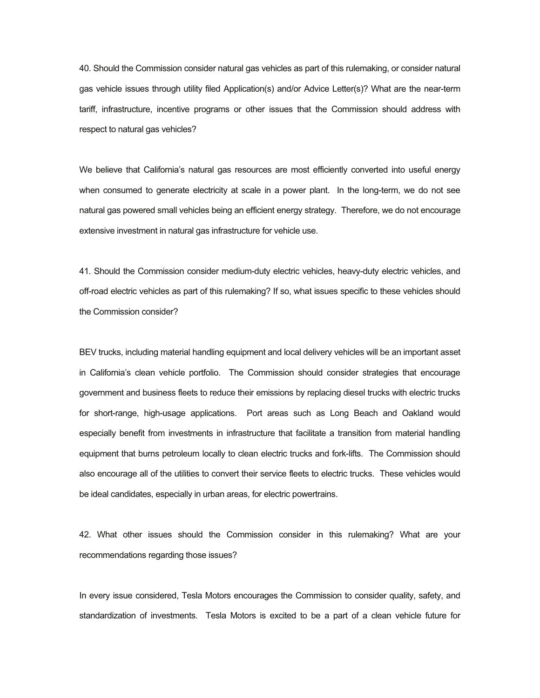40. Should the Commission consider natural gas vehicles as part of this rulemaking, or consider natural gas vehicle issues through utility filed Application(s) and/or Advice Letter(s)? What are the near-term tariff, infrastructure, incentive programs or other issues that the Commission should address with respect to natural gas vehicles?

We believe that California's natural gas resources are most efficiently converted into useful energy when consumed to generate electricity at scale in a power plant. In the long-term, we do not see natural gas powered small vehicles being an efficient energy strategy. Therefore, we do not encourage extensive investment in natural gas infrastructure for vehicle use.

41. Should the Commission consider medium-duty electric vehicles, heavy-duty electric vehicles, and off-road electric vehicles as part of this rulemaking? If so, what issues specific to these vehicles should the Commission consider?

BEV trucks, including material handling equipment and local delivery vehicles will be an important asset in California's clean vehicle portfolio. The Commission should consider strategies that encourage government and business fleets to reduce their emissions by replacing diesel trucks with electric trucks for short-range, high-usage applications. Port areas such as Long Beach and Oakland would especially benefit from investments in infrastructure that facilitate a transition from material handling equipment that burns petroleum locally to clean electric trucks and fork-lifts. The Commission should also encourage all of the utilities to convert their service fleets to electric trucks. These vehicles would be ideal candidates, especially in urban areas, for electric powertrains.

42. What other issues should the Commission consider in this rulemaking? What are your recommendations regarding those issues?

In every issue considered, Tesla Motors encourages the Commission to consider quality, safety, and standardization of investments. Tesla Motors is excited to be a part of a clean vehicle future for